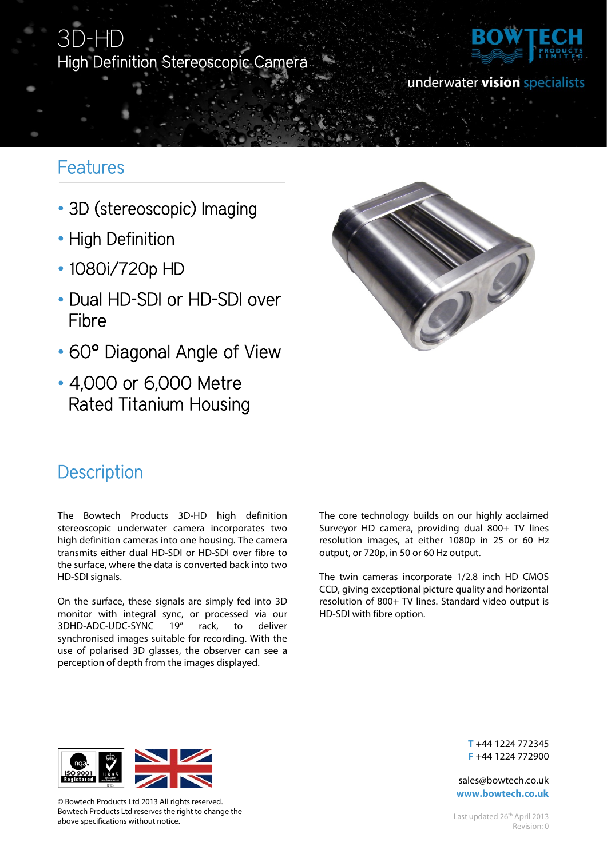## 3D-HD High Definition Stereoscopic Camera



### underwater vision specialists

## Features

- 3D (stereoscopic) Imaging
- High Definition
- 1080i/720p HD
- Dual HD-SDI or HD-SDI over Fibre
- 60° Diagonal Angle of View
- 4,000 or 6,000 Metre Rated Titanium Housing



## **Description**

The Bowtech Products 3D-HD high definition stereoscopic underwater camera incorporates two high definition cameras into one housing. The camera transmits either dual HD-SDI or HD-SDI over fibre to the surface, where the data is converted back into two HD-SDI signals.

On the surface, these signals are simply fed into 3D monitor with integral sync, or processed via our 3DHD-ADC-UDC-SYNC 19" rack, to deliver synchronised images suitable for recording. With the use of polarised 3D glasses, the observer can see a perception of depth from the images displayed.

The core technology builds on our highly acclaimed Surveyor HD camera, providing dual 800+ TV lines resolution images, at either 1080p in 25 or 60 Hz output, or 720p, in 50 or 60 Hz output.

The twin cameras incorporate 1/2.8 inch HD CMOS CCD, giving exceptional picture quality and horizontal resolution of 800+ TV lines. Standard video output is HD-SDI with fibre option.



© Bowtech Products Ltd 2013 All rights reserved. Bowtech Products Ltd reserves the right to change the above specifications without notice.

**T** +44 1224 772345 **F** +44 1224 772900

sales@bowtech.co.uk **www.bowtech.co.uk**

Last updated 26<sup>th</sup> April 2013 Revision: 0